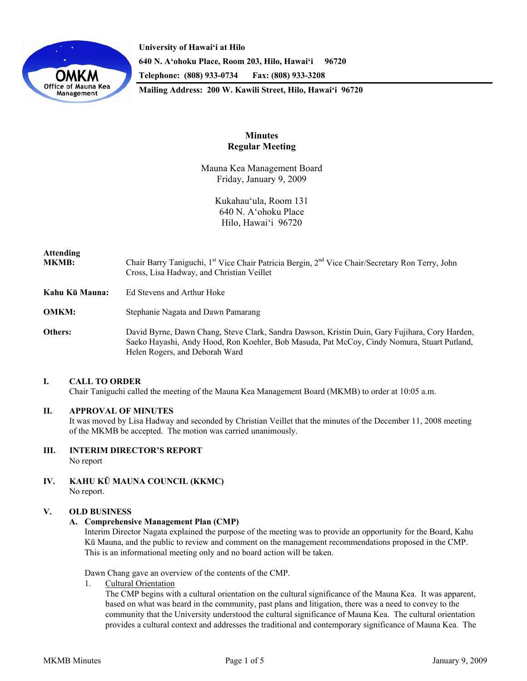

**University of Hawai'i at Hilo 640 N. A'ohoku Place, Room 203, Hilo, Hawai'i 96720 Telephone: (808) 933-0734 Fax: (808) 933-3208 Mailing Address: 200 W. Kawili Street, Hilo, Hawai'i 96720** 

> **Minutes Regular Meeting**

Mauna Kea Management Board Friday, January 9, 2009

> Kukahau'ula, Room 131 640 N. A'ohoku Place Hilo, Hawai'i 96720

# **Attending**

- MKMB: Chair Barry Taniguchi, 1<sup>st</sup> Vice Chair Patricia Bergin, 2<sup>nd</sup> Vice Chair/Secretary Ron Terry, John Cross, Lisa Hadway, and Christian Veillet
- **Kahu Kū Mauna:** Ed Stevens and Arthur Hoke
- **OMKM:** Stephanie Nagata and Dawn Pamarang
- **Others:** David Byrne, Dawn Chang, Steve Clark, Sandra Dawson, Kristin Duin, Gary Fujihara, Cory Harden, Saeko Hayashi, Andy Hood, Ron Koehler, Bob Masuda, Pat McCoy, Cindy Nomura, Stuart Putland, Helen Rogers, and Deborah Ward

# **I. CALL TO ORDER**

Chair Taniguchi called the meeting of the Mauna Kea Management Board (MKMB) to order at 10:05 a.m.

# **II. APPROVAL OF MINUTES**

It was moved by Lisa Hadway and seconded by Christian Veillet that the minutes of the December 11, 2008 meeting of the MKMB be accepted. The motion was carried unanimously.

# **III. INTERIM DIRECTOR'S REPORT**

No report

**IV. KAHU KŪ MAUNA COUNCIL (KKMC)**  No report.

# **V. OLD BUSINESS**

# **A. Comprehensive Management Plan (CMP)**

Interim Director Nagata explained the purpose of the meeting was to provide an opportunity for the Board, Kahu Kū Mauna, and the public to review and comment on the management recommendations proposed in the CMP. This is an informational meeting only and no board action will be taken.

Dawn Chang gave an overview of the contents of the CMP.

1. Cultural Orientation

 The CMP begins with a cultural orientation on the cultural significance of the Mauna Kea. It was apparent, based on what was heard in the community, past plans and litigation, there was a need to convey to the community that the University understood the cultural significance of Mauna Kea. The cultural orientation provides a cultural context and addresses the traditional and contemporary significance of Mauna Kea. The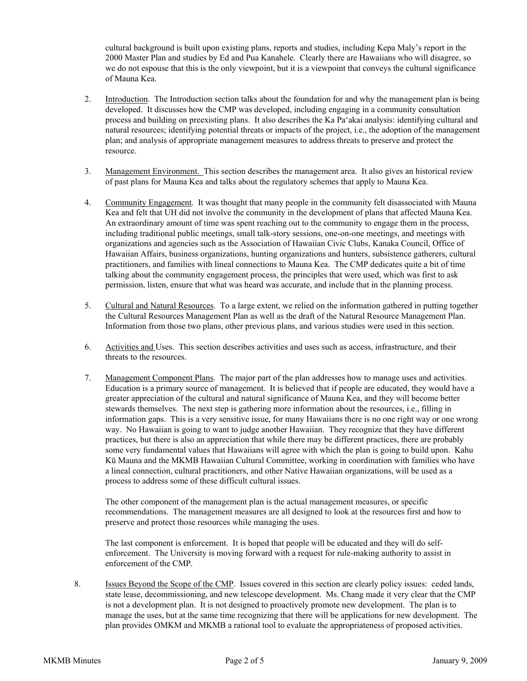cultural background is built upon existing plans, reports and studies, including Kepa Maly's report in the 2000 Master Plan and studies by Ed and Pua Kanahele. Clearly there are Hawaiians who will disagree, so we do not espouse that this is the only viewpoint, but it is a viewpoint that conveys the cultural significance of Mauna Kea.

- 2. Introduction. The Introduction section talks about the foundation for and why the management plan is being developed. It discusses how the CMP was developed, including engaging in a community consultation process and building on preexisting plans. It also describes the Ka Pa'akai analysis: identifying cultural and natural resources; identifying potential threats or impacts of the project, i.e., the adoption of the management plan; and analysis of appropriate management measures to address threats to preserve and protect the resource.
- 3. Management Environment. This section describes the management area. It also gives an historical review of past plans for Mauna Kea and talks about the regulatory schemes that apply to Mauna Kea.
- 4. Community Engagement. It was thought that many people in the community felt disassociated with Mauna Kea and felt that UH did not involve the community in the development of plans that affected Mauna Kea. An extraordinary amount of time was spent reaching out to the community to engage them in the process, including traditional public meetings, small talk-story sessions, one-on-one meetings, and meetings with organizations and agencies such as the Association of Hawaiian Civic Clubs, Kanaka Council, Office of Hawaiian Affairs, business organizations, hunting organizations and hunters, subsistence gatherers, cultural practitioners, and families with lineal connections to Mauna Kea. The CMP dedicates quite a bit of time talking about the community engagement process, the principles that were used, which was first to ask permission, listen, ensure that what was heard was accurate, and include that in the planning process.
- 5. Cultural and Natural Resources. To a large extent, we relied on the information gathered in putting together the Cultural Resources Management Plan as well as the draft of the Natural Resource Management Plan. Information from those two plans, other previous plans, and various studies were used in this section.
- 6. Activities and Uses. This section describes activities and uses such as access, infrastructure, and their threats to the resources.
- 7. Management Component Plans. The major part of the plan addresses how to manage uses and activities. Education is a primary source of management. It is believed that if people are educated, they would have a greater appreciation of the cultural and natural significance of Mauna Kea, and they will become better stewards themselves. The next step is gathering more information about the resources, i.e., filling in information gaps. This is a very sensitive issue, for many Hawaiians there is no one right way or one wrong way. No Hawaiian is going to want to judge another Hawaiian. They recognize that they have different practices, but there is also an appreciation that while there may be different practices, there are probably some very fundamental values that Hawaiians will agree with which the plan is going to build upon. Kahu Kū Mauna and the MKMB Hawaiian Cultural Committee, working in coordination with families who have a lineal connection, cultural practitioners, and other Native Hawaiian organizations, will be used as a process to address some of these difficult cultural issues.

The other component of the management plan is the actual management measures, or specific recommendations. The management measures are all designed to look at the resources first and how to preserve and protect those resources while managing the uses.

The last component is enforcement. It is hoped that people will be educated and they will do selfenforcement. The University is moving forward with a request for rule-making authority to assist in enforcement of the CMP.

8. Issues Beyond the Scope of the CMP. Issues covered in this section are clearly policy issues: ceded lands, state lease, decommissioning, and new telescope development. Ms. Chang made it very clear that the CMP is not a development plan. It is not designed to proactively promote new development. The plan is to manage the uses, but at the same time recognizing that there will be applications for new development. The plan provides OMKM and MKMB a rational tool to evaluate the appropriateness of proposed activities.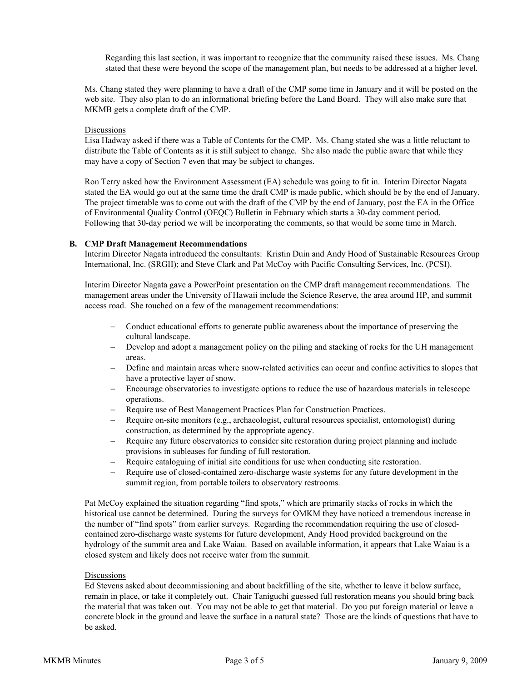Regarding this last section, it was important to recognize that the community raised these issues. Ms. Chang stated that these were beyond the scope of the management plan, but needs to be addressed at a higher level.

Ms. Chang stated they were planning to have a draft of the CMP some time in January and it will be posted on the web site. They also plan to do an informational briefing before the Land Board. They will also make sure that MKMB gets a complete draft of the CMP.

#### **Discussions**

Lisa Hadway asked if there was a Table of Contents for the CMP. Ms. Chang stated she was a little reluctant to distribute the Table of Contents as it is still subject to change. She also made the public aware that while they may have a copy of Section 7 even that may be subject to changes.

Ron Terry asked how the Environment Assessment (EA) schedule was going to fit in. Interim Director Nagata stated the EA would go out at the same time the draft CMP is made public, which should be by the end of January. The project timetable was to come out with the draft of the CMP by the end of January, post the EA in the Office of Environmental Quality Control (OEQC) Bulletin in February which starts a 30-day comment period. Following that 30-day period we will be incorporating the comments, so that would be some time in March.

#### **B. CMP Draft Management Recommendations**

Interim Director Nagata introduced the consultants: Kristin Duin and Andy Hood of Sustainable Resources Group International, Inc. (SRGII); and Steve Clark and Pat McCoy with Pacific Consulting Services, Inc. (PCSI).

Interim Director Nagata gave a PowerPoint presentation on the CMP draft management recommendations. The management areas under the University of Hawaii include the Science Reserve, the area around HP, and summit access road. She touched on a few of the management recommendations:

- − Conduct educational efforts to generate public awareness about the importance of preserving the cultural landscape.
- − Develop and adopt a management policy on the piling and stacking of rocks for the UH management areas.
- Define and maintain areas where snow-related activities can occur and confine activities to slopes that have a protective layer of snow.
- Encourage observatories to investigate options to reduce the use of hazardous materials in telescope operations.
- − Require use of Best Management Practices Plan for Construction Practices.
- − Require on-site monitors (e.g., archaeologist, cultural resources specialist, entomologist) during construction, as determined by the appropriate agency.
- − Require any future observatories to consider site restoration during project planning and include provisions in subleases for funding of full restoration.
- Require cataloguing of initial site conditions for use when conducting site restoration.
- Require use of closed-contained zero-discharge waste systems for any future development in the summit region, from portable toilets to observatory restrooms.

Pat McCoy explained the situation regarding "find spots," which are primarily stacks of rocks in which the historical use cannot be determined. During the surveys for OMKM they have noticed a tremendous increase in the number of "find spots" from earlier surveys. Regarding the recommendation requiring the use of closedcontained zero-discharge waste systems for future development, Andy Hood provided background on the hydrology of the summit area and Lake Waiau. Based on available information, it appears that Lake Waiau is a closed system and likely does not receive water from the summit.

# Discussions

Ed Stevens asked about decommissioning and about backfilling of the site, whether to leave it below surface, remain in place, or take it completely out. Chair Taniguchi guessed full restoration means you should bring back the material that was taken out. You may not be able to get that material. Do you put foreign material or leave a concrete block in the ground and leave the surface in a natural state? Those are the kinds of questions that have to be asked.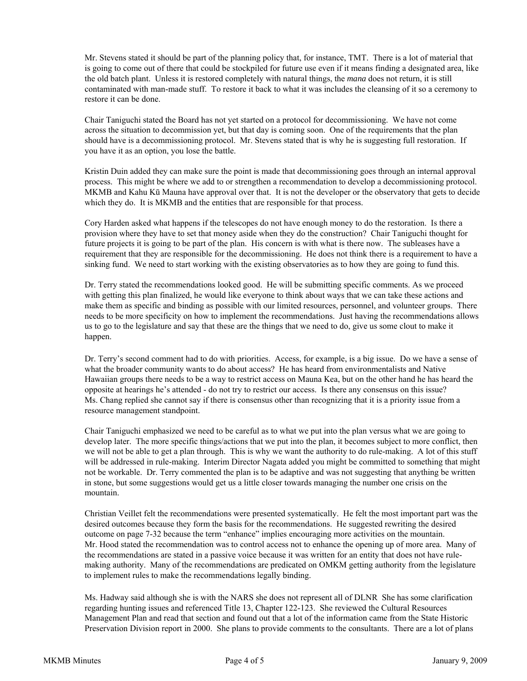Mr. Stevens stated it should be part of the planning policy that, for instance, TMT. There is a lot of material that is going to come out of there that could be stockpiled for future use even if it means finding a designated area, like the old batch plant. Unless it is restored completely with natural things, the *mana* does not return, it is still contaminated with man-made stuff. To restore it back to what it was includes the cleansing of it so a ceremony to restore it can be done.

Chair Taniguchi stated the Board has not yet started on a protocol for decommissioning. We have not come across the situation to decommission yet, but that day is coming soon. One of the requirements that the plan should have is a decommissioning protocol. Mr. Stevens stated that is why he is suggesting full restoration. If you have it as an option, you lose the battle.

Kristin Duin added they can make sure the point is made that decommissioning goes through an internal approval process. This might be where we add to or strengthen a recommendation to develop a decommissioning protocol. MKMB and Kahu Kū Mauna have approval over that. It is not the developer or the observatory that gets to decide which they do. It is MKMB and the entities that are responsible for that process.

Cory Harden asked what happens if the telescopes do not have enough money to do the restoration. Is there a provision where they have to set that money aside when they do the construction? Chair Taniguchi thought for future projects it is going to be part of the plan. His concern is with what is there now. The subleases have a requirement that they are responsible for the decommissioning. He does not think there is a requirement to have a sinking fund. We need to start working with the existing observatories as to how they are going to fund this.

Dr. Terry stated the recommendations looked good. He will be submitting specific comments. As we proceed with getting this plan finalized, he would like everyone to think about ways that we can take these actions and make them as specific and binding as possible with our limited resources, personnel, and volunteer groups. There needs to be more specificity on how to implement the recommendations. Just having the recommendations allows us to go to the legislature and say that these are the things that we need to do, give us some clout to make it happen.

Dr. Terry's second comment had to do with priorities. Access, for example, is a big issue. Do we have a sense of what the broader community wants to do about access? He has heard from environmentalists and Native Hawaiian groups there needs to be a way to restrict access on Mauna Kea, but on the other hand he has heard the opposite at hearings he's attended - do not try to restrict our access. Is there any consensus on this issue? Ms. Chang replied she cannot say if there is consensus other than recognizing that it is a priority issue from a resource management standpoint.

Chair Taniguchi emphasized we need to be careful as to what we put into the plan versus what we are going to develop later. The more specific things/actions that we put into the plan, it becomes subject to more conflict, then we will not be able to get a plan through. This is why we want the authority to do rule-making. A lot of this stuff will be addressed in rule-making. Interim Director Nagata added you might be committed to something that might not be workable. Dr. Terry commented the plan is to be adaptive and was not suggesting that anything be written in stone, but some suggestions would get us a little closer towards managing the number one crisis on the mountain.

Christian Veillet felt the recommendations were presented systematically. He felt the most important part was the desired outcomes because they form the basis for the recommendations. He suggested rewriting the desired outcome on page 7-32 because the term "enhance" implies encouraging more activities on the mountain. Mr. Hood stated the recommendation was to control access not to enhance the opening up of more area. Many of the recommendations are stated in a passive voice because it was written for an entity that does not have rulemaking authority. Many of the recommendations are predicated on OMKM getting authority from the legislature to implement rules to make the recommendations legally binding.

Ms. Hadway said although she is with the NARS she does not represent all of DLNR She has some clarification regarding hunting issues and referenced Title 13, Chapter 122-123. She reviewed the Cultural Resources Management Plan and read that section and found out that a lot of the information came from the State Historic Preservation Division report in 2000. She plans to provide comments to the consultants. There are a lot of plans